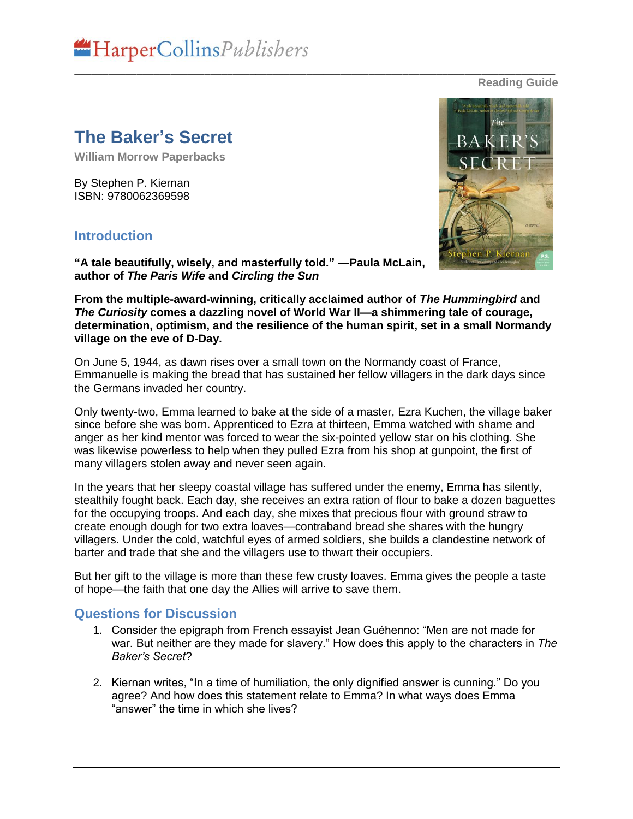

**Reading Guide**

## **The Baker's Secret**

**William Morrow Paperbacks** 

By Stephen P. Kiernan ISBN: 9780062369598

## **Introduction**

**"A tale beautifully, wisely, and masterfully told." —Paula McLain, author of** *The Paris Wife* **and** *Circling the Sun*

**From the multiple-award-winning, critically acclaimed author of** *The Hummingbird* **and**  *The Curiosity* **comes a dazzling novel of World War II—a shimmering tale of courage, determination, optimism, and the resilience of the human spirit, set in a small Normandy village on the eve of D-Day.**

\_\_\_\_\_\_\_\_\_\_\_\_\_\_\_\_\_\_\_\_\_\_\_\_\_\_\_\_\_\_\_\_\_\_\_\_\_\_\_\_\_\_\_\_\_\_\_\_\_\_\_\_\_\_\_\_\_\_\_\_\_\_\_\_\_\_\_\_\_\_\_\_\_\_\_\_\_\_\_\_\_\_\_\_\_

On June 5, 1944, as dawn rises over a small town on the Normandy coast of France, Emmanuelle is making the bread that has sustained her fellow villagers in the dark days since the Germans invaded her country.

Only twenty-two, Emma learned to bake at the side of a master, Ezra Kuchen, the village baker since before she was born. Apprenticed to Ezra at thirteen, Emma watched with shame and anger as her kind mentor was forced to wear the six-pointed yellow star on his clothing. She was likewise powerless to help when they pulled Ezra from his shop at gunpoint, the first of many villagers stolen away and never seen again.

In the years that her sleepy coastal village has suffered under the enemy, Emma has silently, stealthily fought back. Each day, she receives an extra ration of flour to bake a dozen baguettes for the occupying troops. And each day, she mixes that precious flour with ground straw to create enough dough for two extra loaves—contraband bread she shares with the hungry villagers. Under the cold, watchful eyes of armed soldiers, she builds a clandestine network of barter and trade that she and the villagers use to thwart their occupiers.

But her gift to the village is more than these few crusty loaves. Emma gives the people a taste of hope—the faith that one day the Allies will arrive to save them.

## **Questions for Discussion**

- 1. Consider the epigraph from French essayist Jean Guéhenno: "Men are not made for war. But neither are they made for slavery." How does this apply to the characters in *The Baker's Secret*?
- 2. Kiernan writes, "In a time of humiliation, the only dignified answer is cunning." Do you agree? And how does this statement relate to Emma? In what ways does Emma "answer" the time in which she lives?